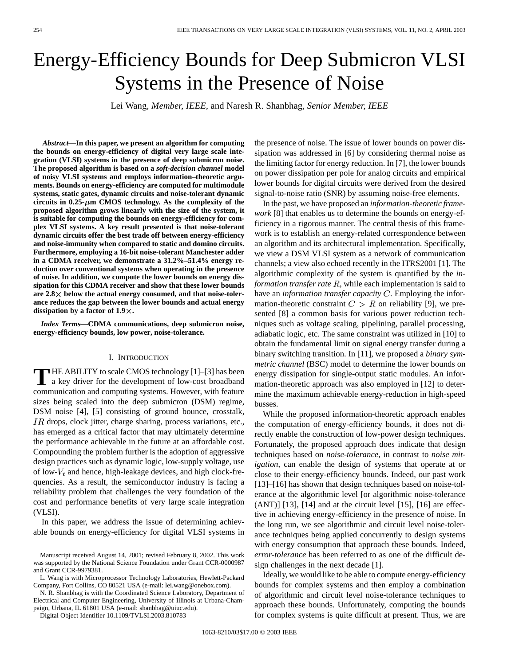# Energy-Efficiency Bounds for Deep Submicron VLSI Systems in the Presence of Noise

Lei Wang*, Member, IEEE,* and Naresh R. Shanbhag*, Senior Member, IEEE*

*Abstract—***In this paper, we present an algorithm for computing the bounds on energy-efficiency of digital very large scale integration (VLSI) systems in the presence of deep submicron noise. The proposed algorithm is based on a** *soft-decision channel* **model of noisy VLSI systems and employs information–theoretic arguments. Bounds on energy-efficiency are computed for multimodule systems, static gates, dynamic circuits and noise-tolerant dynamic** circuits in  $0.25 - \mu m$  CMOS technology. As the complexity of the **proposed algorithm grows linearly with the size of the system, it is suitable for computing the bounds on energy-efficiency for complex VLSI systems. A key result presented is that noise-tolerant dynamic circuits offer the best trade off between energy-efficiency and noise-immunity when compared to static and domino circuits. Furthermore, employing a 16-bit noise-tolerant Manchester adder in a CDMA receiver, we demonstrate a 31.2%–51.4% energy reduction over conventional systems when operating in the presence of noise. In addition, we compute the lower bounds on energy dissipation for this CDMA receiver and show that these lower bounds are 2.8 below the actual energy consumed, and that noise-tolerance reduces the gap between the lower bounds and actual energy dissipation by a factor of 1.9 .**

*Index Terms—***CDMA communications, deep submicron noise, energy-efficiency bounds, low power, noise-tolerance.**

## I. INTRODUCTION

THE ABILITY to scale CMOS technology [1]–[3] has been<br>a key driver for the development of low-cost broadband<br>communication and commuting systems. However, with facture communication and computing systems. However, with feature sizes being scaled into the deep submicron (DSM) regime, DSM noise [4], [5] consisting of ground bounce, crosstalk,  $IR$  drops, clock jitter, charge sharing, process variations, etc., has emerged as a critical factor that may ultimately determine the performance achievable in the future at an affordable cost. Compounding the problem further is the adoption of aggressive design practices such as dynamic logic, low-supply voltage, use of low- $V_t$  and hence, high-leakage devices, and high clock-frequencies. As a result, the semiconductor industry is facing a reliability problem that challenges the very foundation of the cost and performance benefits of very large scale integration (VLSI).

In this paper, we address the issue of determining achievable bounds on energy-efficiency for digital VLSI systems in

Manuscript received August 14, 2001; revised February 8, 2002. This work was supported by the National Science Foundation under Grant CCR-0000987 and Grant CCR-9979381.

L. Wang is with Microprocessor Technology Laboratories, Hewlett-Packard Company, Fort Collins, CO 80521 USA (e-mail: lei.wang@onebox.com).

N. R. Shanbhag is with the Coordinated Science Laboratory, Department of Electrical and Computer Engineering, University of Illinois at Urbana-Champaign, Urbana, IL 61801 USA (e-mail: shanbhag@uiuc.edu).

Digital Object Identifier 10.1109/TVLSI.2003.810783

the presence of noise. The issue of lower bounds on power dissipation was addressed in [6] by considering thermal noise as the limiting factor for energy reduction. In [7], the lower bounds on power dissipation per pole for analog circuits and empirical lower bounds for digital circuits were derived from the desired signal-to-noise ratio (SNR) by assuming noise-free elements.

In the past, we have proposed an *information-theoretic framework* [8] that enables us to determine the bounds on energy-efficiency in a rigorous manner. The central thesis of this framework is to establish an energy-related correspondence between an algorithm and its architectural implementation. Specifically, we view a DSM VLSI system as a network of communication channels; a view also echoed recently in the ITRS2001 [1]. The algorithmic complexity of the system is quantified by the *information transfer rate* R, while each implementation is said to have an *information transfer capacity C*. Employing the information-theoretic constraint  $C > R$  on reliability [9], we presented [8] a common basis for various power reduction techniques such as voltage scaling, pipelining, parallel processing, adiabatic logic, etc. The same constraint was utilized in [10] to obtain the fundamental limit on signal energy transfer during a binary switching transition. In [11], we proposed a *binary symmetric channel* (BSC) model to determine the lower bounds on energy dissipation for single-output static modules. An information-theoretic approach was also employed in [12] to determine the maximum achievable energy-reduction in high-speed busses.

While the proposed information-theoretic approach enables the computation of energy-efficiency bounds, it does not directly enable the construction of low-power design techniques. Fortunately, the proposed approach does indicate that design techniques based on *noise-tolerance*, in contrast to *noise mitigation*, can enable the design of systems that operate at or close to their energy-efficiency bounds. Indeed, our past work [13]–[16] has shown that design techniques based on noise-tolerance at the algorithmic level [or algorithmic noise-tolerance  $(ANT)$  [13], [14] and at the circuit level [15], [16] are effective in achieving energy-efficiency in the presence of noise. In the long run, we see algorithmic and circuit level noise-tolerance techniques being applied concurrently to design systems with energy consumption that approach these bounds. Indeed, *error-tolerance* has been referred to as one of the difficult design challenges in the next decade [1].

Ideally, we would like to be able to compute energy-efficiency bounds for complex systems and then employ a combination of algorithmic and circuit level noise-tolerance techniques to approach these bounds. Unfortunately, computing the bounds for complex systems is quite difficult at present. Thus, we are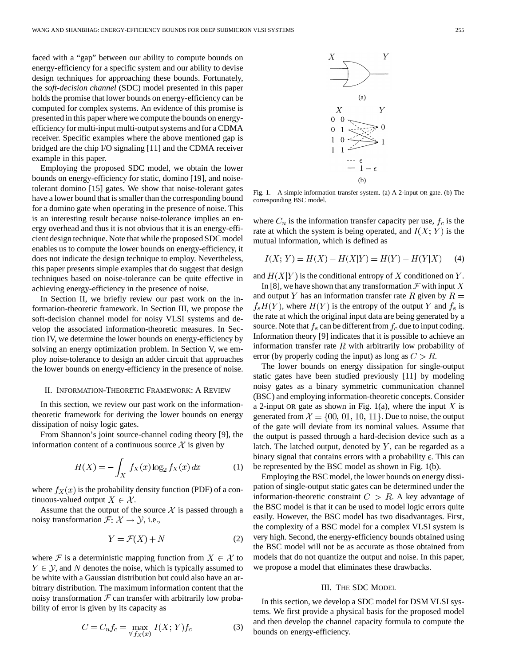faced with a "gap" between our ability to compute bounds on energy-efficiency for a specific system and our ability to devise design techniques for approaching these bounds. Fortunately, the *soft-decision channel* (SDC) model presented in this paper holds the promise that lower bounds on energy-efficiency can be computed for complex systems. An evidence of this promise is presented in this paper where we compute the bounds on energyefficiency for multi-input multi-output systems and for a CDMA receiver. Specific examples where the above mentioned gap is bridged are the chip I/O signaling [11] and the CDMA receiver example in this paper.

Employing the proposed SDC model, we obtain the lower bounds on energy-efficiency for static, domino [19], and noisetolerant domino [15] gates. We show that noise-tolerant gates have a lower bound that is smaller than the corresponding bound for a domino gate when operating in the presence of noise. This is an interesting result because noise-tolerance implies an energy overhead and thus it is not obvious that it is an energy-efficient design technique. Note that while the proposed SDC model enables us to compute the lower bounds on energy-efficiency, it does not indicate the design technique to employ. Nevertheless, this paper presents simple examples that do suggest that design techniques based on noise-tolerance can be quite effective in achieving energy-efficiency in the presence of noise.

In Section II, we briefly review our past work on the information-theoretic framework. In Section III, we propose the soft-decision channel model for noisy VLSI systems and develop the associated information-theoretic measures. In Section IV, we determine the lower bounds on energy-efficiency by solving an energy optimization problem. In Section V, we employ noise-tolerance to design an adder circuit that approaches the lower bounds on energy-efficiency in the presence of noise.

#### II. INFORMATION-THEORETIC FRAMEWORK: A REVIEW

In this section, we review our past work on the informationtheoretic framework for deriving the lower bounds on energy dissipation of noisy logic gates.

From Shannon's joint source-channel coding theory [9], the information content of a continuous source  $\mathcal X$  is given by

$$
H(X) = -\int_X f_X(x) \log_2 f_X(x) dx \tag{1}
$$

where  $f_X(x)$  is the probability density function (PDF) of a continuous-valued output  $X \in \mathcal{X}$ .

Assume that the output of the source  $\mathcal X$  is passed through a noisy transformation  $\mathcal{F}: \mathcal{X} \to \mathcal{Y}$ , i.e.,

$$
Y = \mathcal{F}(X) + N \tag{2}
$$

where F is a deterministic mapping function from  $X \in \mathcal{X}$  to  $Y \in \mathcal{Y}$ , and N denotes the noise, which is typically assumed to be white with a Gaussian distribution but could also have an arbitrary distribution. The maximum information content that the noisy transformation  $\mathcal F$  can transfer with arbitrarily low probability of error is given by its capacity as

$$
C = C_u f_c = \max_{\forall f_X(x)} I(X;Y) f_c \tag{3}
$$



Fig. 1. A simple information transfer system. (a) A 2-input OR gate. (b) The corresponding BSC model.

where  $C_u$  is the information transfer capacity per use,  $f_c$  is the rate at which the system is being operated, and  $I(X; Y)$  is the mutual information, which is defined as

$$
I(X; Y) = H(X) - H(X|Y) = H(Y) - H(Y|X)
$$
 (4)

and  $H(X|Y)$  is the conditional entropy of X conditioned on Y.

In [8], we have shown that any transformation  $\mathcal F$  with input X and output Y has an information transfer rate R given by  $R =$  $f_s H(Y)$ , where  $H(Y)$  is the entropy of the output Y and  $f_s$  is the rate at which the original input data are being generated by a source. Note that  $f_s$  can be different from  $f_c$  due to input coding. Information theory [9] indicates that it is possible to achieve an information transfer rate  $R$  with arbitrarily low probability of error (by properly coding the input) as long as  $C > R$ .

The lower bounds on energy dissipation for single-output static gates have been studied previously [11] by modeling noisy gates as a binary symmetric communication channel (BSC) and employing information-theoretic concepts. Consider a 2-input OR gate as shown in Fig. 1(a), where the input  $X$  is generated from  $\mathcal{X} = \{00, 01, 10, 11\}$ . Due to noise, the output of the gate will deviate from its nominal values. Assume that the output is passed through a hard-decision device such as a latch. The latched output, denoted by  $Y$ , can be regarded as a binary signal that contains errors with a probability  $\epsilon$ . This can be represented by the BSC model as shown in Fig. 1(b).

Employing the BSC model, the lower bounds on energy dissipation of single-output static gates can be determined under the information-theoretic constraint  $C > R$ . A key advantage of the BSC model is that it can be used to model logic errors quite easily. However, the BSC model has two disadvantages. First, the complexity of a BSC model for a complex VLSI system is very high. Second, the energy-efficiency bounds obtained using the BSC model will not be as accurate as those obtained from models that do not quantize the output and noise. In this paper, we propose a model that eliminates these drawbacks.

## III. THE SDC MODEL

In this section, we develop a SDC model for DSM VLSI systems. We first provide a physical basis for the proposed model and then develop the channel capacity formula to compute the bounds on energy-efficiency.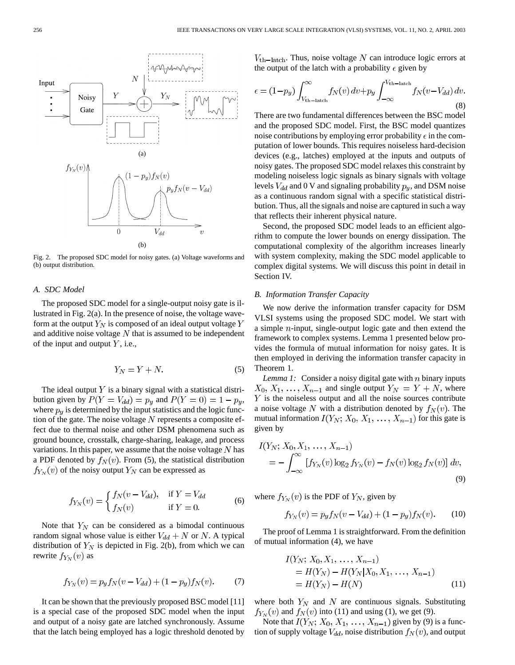

Fig. 2. The proposed SDC model for noisy gates. (a) Voltage waveforms and (b) output distribution.

# *A. SDC Model*

The proposed SDC model for a single-output noisy gate is illustrated in Fig. 2(a). In the presence of noise, the voltage waveform at the output  $Y_N$  is composed of an ideal output voltage Y and additive noise voltage  $N$  that is assumed to be independent of the input and output  $Y$ , i.e.,

$$
Y_N = Y + N.\t\t(5)
$$

The ideal output  $Y$  is a binary signal with a statistical distribution given by  $P(Y = V_{dd}) = p_y$  and  $P(Y = 0) = 1 - p_y$ , where  $p_y$  is determined by the input statistics and the logic function of the gate. The noise voltage  $N$  represents a composite effect due to thermal noise and other DSM phenomena such as ground bounce, crosstalk, charge-sharing, leakage, and process variations. In this paper, we assume that the noise voltage  $N$  has a PDF denoted by  $f_N(v)$ . From (5), the statistical distribution  $f_{Y_N}(v)$  of the noisy output  $Y_N$  can be expressed as

$$
f_{Y_N}(v) = \begin{cases} f_N(v - V_{dd}), & \text{if } Y = V_{dd} \\ f_N(v) & \text{if } Y = 0. \end{cases}
$$
 (6)

Note that  $Y_N$  can be considered as a bimodal continuous random signal whose value is either  $V_{dd} + N$  or N. A typical distribution of  $Y_N$  is depicted in Fig. 2(b), from which we can rewrite  $f_{Y_N}(v)$  as

$$
f_{Y_N}(v) = p_y f_N(v - V_{dd}) + (1 - p_y) f_N(v). \tag{7}
$$

It can be shown that the previously proposed BSC model [11] is a special case of the proposed SDC model when the input and output of a noisy gate are latched synchronously. Assume that the latch being employed has a logic threshold denoted by

 $V_{\text{th}-\text{latch}}$ . Thus, noise voltage N can introduce logic errors at the output of the latch with a probability  $\epsilon$  given by

$$
\epsilon = (1 - p_y) \int_{V_{\text{th}-\text{latch}}}^{\infty} f_N(v) \, dv + p_y \int_{-\infty}^{V_{\text{th}-\text{latch}}} f_N(v - V_{dd}) \, dv. \tag{8}
$$

There are two fundamental differences between the BSC model and the proposed SDC model. First, the BSC model quantizes noise contributions by employing error probability  $\epsilon$  in the computation of lower bounds. This requires noiseless hard-decision devices (e.g., latches) employed at the inputs and outputs of noisy gates. The proposed SDC model relaxes this constraint by modeling noiseless logic signals as binary signals with voltage levels  $V_{dd}$  and 0 V and signaling probability  $p_u$ , and DSM noise as a continuous random signal with a specific statistical distribution. Thus, all the signals and noise are captured in such a way that reflects their inherent physical nature.

Second, the proposed SDC model leads to an efficient algorithm to compute the lower bounds on energy dissipation. The computational complexity of the algorithm increases linearly with system complexity, making the SDC model applicable to complex digital systems. We will discuss this point in detail in Section IV.

# *B. Information Transfer Capacity*

We now derive the information transfer capacity for DSM VLSI systems using the proposed SDC model. We start with a simple  $n$ -input, single-output logic gate and then extend the framework to complex systems. Lemma 1 presented below provides the formula of mutual information for noisy gates. It is then employed in deriving the information transfer capacity in Theorem 1.

*Lemma 1:* Consider a noisy digital gate with  $n$  binary inputs  $X_0, X_1, \ldots, X_{n-1}$  and single output  $Y_N = Y + N$ , where  $Y$  is the noiseless output and all the noise sources contribute a noise voltage N with a distribution denoted by  $f_N(v)$ . The mutual information  $I(Y_N; X_0, X_1, \ldots, X_{n-1})$  for this gate is given by

$$
I(Y_N; X_0, X_1, \dots, X_{n-1})
$$
  
= 
$$
-\int_{-\infty}^{\infty} [f_{Y_N}(v) \log_2 f_{Y_N}(v) - f_N(v) \log_2 f_N(v)] dv,
$$
 (9)

where  $f_{Y_N}(v)$  is the PDF of  $Y_N$ , given by

$$
f_{Y_N}(v) = p_y f_N(v - V_{dd}) + (1 - p_y) f_N(v). \tag{10}
$$

The proof of Lemma 1 is straightforward. From the definition of mutual information (4), we have

$$
I(Y_N; X_0, X_1, \dots, X_{n-1})
$$
  
=  $H(Y_N) - H(Y_N | X_0, X_1, \dots, X_{n-1})$   
=  $H(Y_N) - H(N)$  (11)

where both  $Y_N$  and  $N$  are continuous signals. Substituting  $f_{Y_N}(v)$  and  $f_N(v)$  into (11) and using (1), we get (9).

Note that  $I(Y_N; X_0, X_1, \ldots, X_{n-1})$  given by (9) is a function of supply voltage  $V_{dd}$ , noise distribution  $f_N(v)$ , and output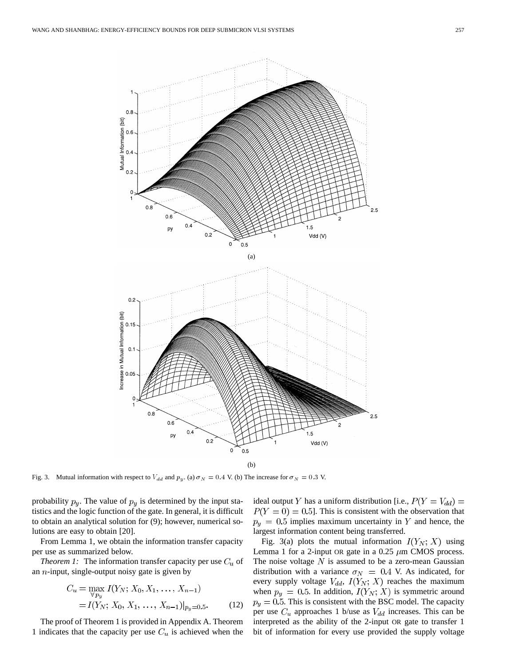

Fig. 3. Mutual information with respect to  $V_{dd}$  and  $p_y$ . (a)  $\sigma_N = 0.4$  V. (b) The increase for  $\sigma_N = 0.3$  V.

probability  $p_y$ . The value of  $p_y$  is determined by the input statistics and the logic function of the gate. In general, it is difficult to obtain an analytical solution for (9); however, numerical solutions are easy to obtain [20].

From Lemma 1, we obtain the information transfer capacity per use as summarized below.

*Theorem 1:* The information transfer capacity per use  $C_u$  of an  $n$ -input, single-output noisy gate is given by

$$
C_u = \max_{\forall p_y} I(Y_N; X_0, X_1, \dots, X_{n-1})
$$
  
=  $I(Y_N; X_0, X_1, \dots, X_{n-1})|_{p_y=0.5}$ . (12)

The proof of Theorem 1 is provided in Appendix A. Theorem 1 indicates that the capacity per use  $C_u$  is achieved when the ideal output Y has a uniform distribution [i.e.,  $P(Y = V_{dd}) =$  $P(Y = 0) = 0.5$ . This is consistent with the observation that  $p_y = 0.5$  implies maximum uncertainty in Y and hence, the largest information content being transferred.

Fig. 3(a) plots the mutual information  $I(Y_N; X)$  using Lemma 1 for a 2-input OR gate in a 0.25  $\mu$ m CMOS process. The noise voltage  $N$  is assumed to be a zero-mean Gaussian distribution with a variance  $\sigma_N = 0.4$  V. As indicated, for every supply voltage  $V_{dd}$ ,  $I(Y_N; X)$  reaches the maximum when  $p_y = 0.5$ . In addition,  $I(Y_N; X)$  is symmetric around  $p_y = 0.5$ . This is consistent with the BSC model. The capacity per use  $C_u$  approaches 1 b/use as  $V_{dd}$  increases. This can be interpreted as the ability of the 2-input OR gate to transfer 1 bit of information for every use provided the supply voltage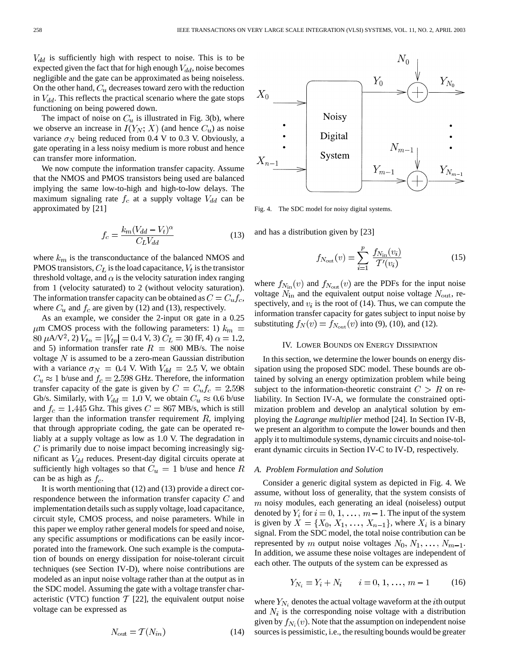$V_{dd}$  is sufficiently high with respect to noise. This is to be expected given the fact that for high enough  $V_{dd}$ , noise becomes negligible and the gate can be approximated as being noiseless. On the other hand,  $C_u$  decreases toward zero with the reduction in  $V_{dd}$ . This reflects the practical scenario where the gate stops functioning on being powered down.

The impact of noise on  $C_u$  is illustrated in Fig. 3(b), where we observe an increase in  $I(Y_N; X)$  (and hence  $C_u$ ) as noise variance  $\sigma_N$  being reduced from 0.4 V to 0.3 V. Obviously, a gate operating in a less noisy medium is more robust and hence can transfer more information.

We now compute the information transfer capacity. Assume that the NMOS and PMOS transistors being used are balanced implying the same low-to-high and high-to-low delays. The maximum signaling rate  $f_c$  at a supply voltage  $V_{dd}$  can be approximated by [21]

$$
f_c = \frac{k_m (V_{dd} - V_t)^{\alpha}}{C_L V_{dd}}\tag{13}
$$

where  $k_m$  is the transconductance of the balanced NMOS and PMOS transistors,  $C_L$  is the load capacitance,  $V_t$  is the transistor threshold voltage, and  $\alpha$  is the velocity saturation index ranging from 1 (velocity saturated) to 2 (without velocity saturation). The information transfer capacity can be obtained as  $C = C_u f_c$ , where  $C_u$  and  $f_c$  are given by (12) and (13), respectively.

As an example, we consider the 2-input OR gate in a 0.25  $\mu$ m CMOS process with the following parameters: 1)  $k_m$  = 80  $\mu$ A/V<sup>2</sup>, 2)  $V_{tn} = |V_{tp}| = 0.4$  V, 3)  $C_L = 30$  fF, 4)  $\alpha = 1.2$ , and 5) information transfer rate  $R = 800$  MB/s. The noise voltage  $N$  is assumed to be a zero-mean Gaussian distribution with a variance  $\sigma_N = 0.4$  V. With  $V_{dd} = 2.5$  V, we obtain  $C_u \approx 1$  b/use and  $f_c = 2.598$  GHz. Therefore, the information transfer capacity of the gate is given by  $C = C_u f_c = 2.598$ Gb/s. Similarly, with  $V_{dd} = 1.0$  V, we obtain  $C_u \approx 0.6$  b/use and  $f_c = 1.445$  Ghz. This gives  $C = 867$  MB/s, which is still larger than the information transfer requirement  $R$ , implying that through appropriate coding, the gate can be operated reliably at a supply voltage as low as 1.0 V. The degradation in  $C$  is primarily due to noise impact becoming increasingly significant as  $V_{dd}$  reduces. Present-day digital circuits operate at sufficiently high voltages so that  $C_u = 1$  b/use and hence R can be as high as  $f_c$ .

It is worth mentioning that (12) and (13) provide a direct correspondence between the information transfer capacity  $C$  and implementation details such as supply voltage, load capacitance, circuit style, CMOS process, and noise parameters. While in this paper we employ rather general models for speed and noise, any specific assumptions or modifications can be easily incorporated into the framework. One such example is the computation of bounds on energy dissipation for noise-tolerant circuit techniques (see Section IV-D), where noise contributions are modeled as an input noise voltage rather than at the output as in the SDC model. Assuming the gate with a voltage transfer characteristic (VTC) function  $T$  [22], the equivalent output noise voltage can be expressed as





Fig. 4. The SDC model for noisy digital systems.

and has a distribution given by [23]

$$
f_{N_{\text{out}}}(v) = \sum_{i=1}^{p} \frac{f_{N_{\text{in}}}(v_i)}{T'(v_i)}
$$
(15)

where  $f_{N_{\text{in}}}(v)$  and  $f_{N_{\text{out}}}(v)$  are the PDFs for the input noise voltage  $N_{\text{in}}$  and the equivalent output noise voltage  $N_{\text{out}}$ , respectively, and  $v_i$  is the root of (14). Thus, we can compute the information transfer capacity for gates subject to input noise by substituting  $f_N(v) = f_{N_{\text{out}}}(v)$  into (9), (10), and (12).

## IV. LOWER BOUNDS ON ENERGY DISSIPATION

In this section, we determine the lower bounds on energy dissipation using the proposed SDC model. These bounds are obtained by solving an energy optimization problem while being subject to the information-theoretic constraint  $C > R$  on reliability. In Section IV-A, we formulate the constrained optimization problem and develop an analytical solution by employing the *Lagrange multiplier* method [24]. In Section IV-B, we present an algorithm to compute the lower bounds and then apply it to multimodule systems, dynamic circuits and noise-tolerant dynamic circuits in Section IV-C to IV-D, respectively.

## *A. Problem Formulation and Solution*

Consider a generic digital system as depicted in Fig. 4. We assume, without loss of generality, that the system consists of  $m$  noisy modules, each generating an ideal (noiseless) output denoted by  $Y_i$  for  $i = 0, 1, ..., m - 1$ . The input of the system is given by  $X = \{X_0, X_1, \ldots, X_{n-1}\}$ , where  $X_i$  is a binary signal. From the SDC model, the total noise contribution can be represented by m output noise voltages  $N_0, N_1, \ldots, N_{m-1}$ . In addition, we assume these noise voltages are independent of each other. The outputs of the system can be expressed as

$$
Y_{N_i} = Y_i + N_i \qquad i = 0, 1, ..., m - 1 \tag{16}
$$

where  $Y_{N_i}$  denotes the actual voltage waveform at the *i*th output and  $N_i$  is the corresponding noise voltage with a distribution given by  $f_{N_i}(v)$ . Note that the assumption on independent noise sources is pessimistic, i.e., the resulting bounds would be greater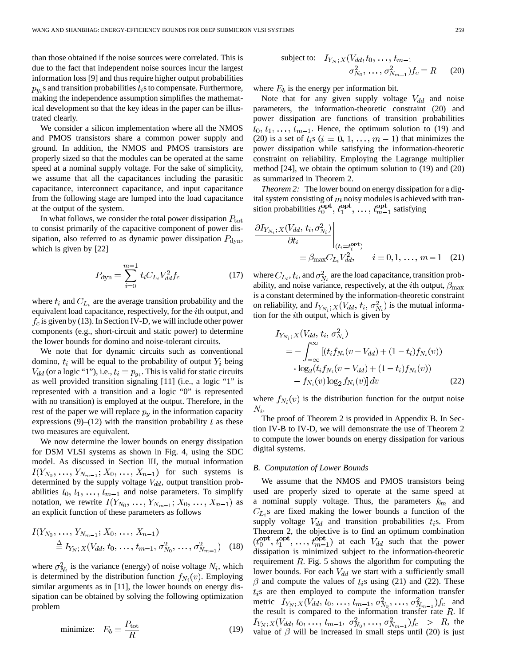than those obtained if the noise sources were correlated. This is due to the fact that independent noise sources incur the largest information loss [9] and thus require higher output probabilities  $p_u$  s and transition probabilities  $t_i$  s to compensate. Furthermore, making the independence assumption simplifies the mathematical development so that the key ideas in the paper can be illustrated clearly.

We consider a silicon implementation where all the NMOS and PMOS transistors share a common power supply and ground. In addition, the NMOS and PMOS transistors are properly sized so that the modules can be operated at the same speed at a nominal supply voltage. For the sake of simplicity, we assume that all the capacitances including the parasitic capacitance, interconnect capacitance, and input capacitance from the following stage are lumped into the load capacitance at the output of the system.

In what follows, we consider the total power dissipation  $P_{\text{tot}}$ to consist primarily of the capacitive component of power dissipation, also referred to as dynamic power dissipation  $P_{\text{dyn}}$ , which is given by [22]

$$
P_{\rm dyn} = \sum_{i=0}^{m-1} t_i C_{L_i} V_{dd}^2 f_c \tag{17}
$$

where  $t_i$  and  $C_{L_i}$  are the average transition probability and the equivalent load capacitance, respectively, for the  $i$ th output, and  $f_c$  is given by (13). In Section IV-D, we will include other power components (e.g., short-circuit and static power) to determine the lower bounds for domino and noise-tolerant circuits.

We note that for dynamic circuits such as conventional domino,  $t_i$  will be equal to the probability of output  $Y_i$  being  $V_{dd}$  (or a logic "1"), i.e.,  $t_i = p_{y_i}$ . This is valid for static circuits as well provided transition signaling [11] (i.e., a logic "1" is represented with a transition and a logic "0" is represented with no transition) is employed at the output. Therefore, in the rest of the paper we will replace  $p_y$  in the information capacity expressions (9)–(12) with the transition probability  $t$  as these two measures are equivalent.

We now determine the lower bounds on energy dissipation for DSM VLSI systems as shown in Fig. 4, using the SDC model. As discussed in Section III, the mutual information  $I(Y_{N_0},\ldots,Y_{N_{m-1}};X_0,\ldots,X_{n-1})$  for such systems is determined by the supply voltage  $V_{dd}$ , output transition probabilities  $t_0, t_1, \ldots, t_{m-1}$  and noise parameters. To simplify notation, we rewrite  $I(Y_{N_0},..., Y_{N_{m-1}}; X_0,..., X_{n-1})$  as an explicit function of these parameters as follows

$$
I(Y_{N_0}, \ldots, Y_{N_{m-1}}; X_0, \ldots, X_{n-1})
$$
  
\n
$$
\stackrel{\Delta}{=} I_{Y_N; X}(V_{dd}, t_0, \ldots, t_{m-1}, \sigma_{N_0}^2, \ldots, \sigma_{N_{m-1}}^2)
$$
 (18)

where  $\sigma_{N_i}^2$  is the variance (energy) of noise voltage  $N_i$ , which is determined by the distribution function  $f_{N_i}(v)$ . Employing similar arguments as in [11], the lower bounds on energy dissipation can be obtained by solving the following optimization problem

$$
\text{minimize:} \quad E_b = \frac{P_{\text{tot}}}{R} \tag{19}
$$

subject to: 
$$
I_{Y_N;X}(V_{dd}, t_0, \ldots, t_{m-1})
$$
  
 $\sigma_{N_0}^2, \ldots, \sigma_{N_{m-1}}^2) f_c = R$  (20)

where  $E_b$  is the energy per information bit.

Note that for any given supply voltage  $V_{dd}$  and noise parameters, the information-theoretic constraint (20) and power dissipation are functions of transition probabilities  $t_0, t_1, \ldots, t_{m-1}$ . Hence, the optimum solution to (19) and (20) is a set of  $t_i$ s ( $i = 0, 1, \ldots, m - 1$ ) that minimizes the power dissipation while satisfying the information-theoretic constraint on reliability. Employing the Lagrange multiplier method [24], we obtain the optimum solution to (19) and (20) as summarized in Theorem 2.

*Theorem 2:* The lower bound on energy dissipation for a digital system consisting of  $m$  noisy modules is achieved with transition probabilities  $t_0^{\text{opt}}, t_1^{\text{opt}}, \ldots, t_{m-1}^{\text{opt}}$  satisfying

$$
\frac{\partial I_{Y_{N_i}}; X(V_{dd}, t_i, \sigma_{N_i}^2)}{\partial t_i}\Bigg|_{(t_i = t_i^{\text{opt}})} \\
= \beta_{\text{max}} C_{L_i} V_{dd}^2, \qquad i = 0, 1, \dots, m - 1 \quad (21)
$$

where  $C_{L_i}$ ,  $t_i$ , and  $\sigma_{N_i}^2$  are the load capacitance, transition probability, and noise variance, respectively, at the *i*th output,  $\beta_{\text{max}}$ is a constant determined by the information-theoretic constraint on reliability, and  $I_{Y_{N_i}}$ ;  $X(V_{dd}, t_i, \sigma_{N_i}^2)$  is the mutual information for the  $i$ th output, which is given by

$$
I_{Y_{N_i}}; X(V_{dd}, t_i, \sigma_{N_i}^2)
$$
  
= 
$$
- \int_{-\infty}^{\infty} [(t_i f_{N_i}(v - V_{dd}) + (1 - t_i) f_{N_i}(v))
$$

$$
\cdot \log_2(t_i f_{N_i}(v - V_{dd}) + (1 - t_i) f_{N_i}(v))
$$

$$
- f_{N_i}(v) \log_2 f_{N_i}(v) \, dv \tag{22}
$$

where  $f_{N_i}(v)$  is the distribution function for the output noise  $N_i$ .

The proof of Theorem 2 is provided in Appendix B. In Section IV-B to IV-D, we will demonstrate the use of Theorem 2 to compute the lower bounds on energy dissipation for various digital systems.

## *B. Computation of Lower Bounds*

We assume that the NMOS and PMOS transistors being used are properly sized to operate at the same speed at a nominal supply voltage. Thus, the parameters  $k_m$  and  $C_{L_i}$ s are fixed making the lower bounds a function of the supply voltage  $V_{dd}$  and transition probabilities  $t_i$ s. From Theorem 2, the objective is to find an optimum combination  $(t_0^{\text{opt}}, t_1^{\text{opt}}, \dots, t_{m-1}^{\text{opt}})$  at each  $V_{dd}$  such that the power dissipation is minimized subject to the information-theoretic requirement  $R$ . Fig. 5 shows the algorithm for computing the lower bounds. For each  $V_{dd}$  we start with a sufficiently small  $\beta$  and compute the values of  $t_i$ s using (21) and (22). These  $t_i$ s are then employed to compute the information transfer metric  $I_{Y_N;X}(V_{dd}, t_0, \ldots, t_{m-1}, \sigma_{N_0}^2, \ldots, \sigma_{N_{m-1}}^2) f_c$  and the result is compared to the information transfer rate  $R$ . If  $I_{Y_N;X}(V_{dd}, t_0, \ldots, t_{m-1}, \sigma_{N_0}^2, \ldots, \sigma_{N_{m-1}}^2) f_c > R$ , the value of  $\beta$  will be increased in small steps until (20) is just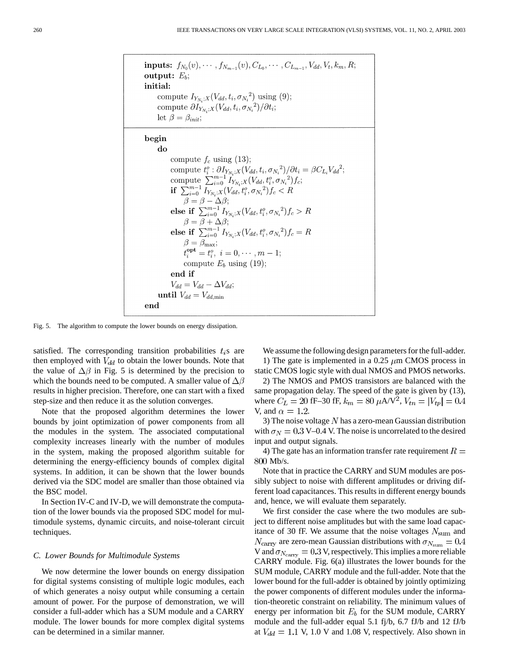| <b>inputs:</b> $f_{N_0}(v), \dots, f_{N_{m-1}}(v), C_{L_0}, \dots, C_{L_{m-1}}, V_{dd}, V_t, k_m, R;$<br>output: $E_b$ ;<br>$\quad$<br>compute $I_{Y_{N_i};X}(V_{dd}, t_i, \sigma_{N_i}^2)$ using (9);<br>compute $\partial I_{Y_{N_i};X}(V_{dd},t_i,\sigma_{N_i}^2)/\partial t_i;$<br>let $\beta = \beta_{init}$ ; |
|---------------------------------------------------------------------------------------------------------------------------------------------------------------------------------------------------------------------------------------------------------------------------------------------------------------------|
| begin                                                                                                                                                                                                                                                                                                               |
| do                                                                                                                                                                                                                                                                                                                  |
| compute $f_c$ using (13);                                                                                                                                                                                                                                                                                           |
| compute $t_i^o : \partial I_{Y_{N_i}:X}(V_{dd}, t_i, \sigma_{N_i}^2)/\partial t_i = \beta C_{L_i} V_{dd}^2;$                                                                                                                                                                                                        |
| compute $\sum_{i=0}^{m-1} I_{Y_{N_i};X}(V_{dd}, t_i^o, \sigma_{N_i}{}^2) f_c;$                                                                                                                                                                                                                                      |
| if $\sum_{i=0}^{m-1} I_{Y_{N_i};X}(V_{dd}, t_i^o, \sigma_{N_i}^2) f_c < R$                                                                                                                                                                                                                                          |
| $\beta = \beta - \Delta \beta$                                                                                                                                                                                                                                                                                      |
| else if $\sum_{i=0}^{m-1} I_{Y_{N_i};X}(V_{dd}, t_i^o, \sigma_{N_i}^2) f_c > R$                                                                                                                                                                                                                                     |
| $\beta = \beta + \Delta \beta$                                                                                                                                                                                                                                                                                      |
| else if $\sum_{i=0}^{m-1} I_{Y_{N_i};X}(V_{dd}, t_i^o, \sigma_{N_i}^2) f_c = R$                                                                                                                                                                                                                                     |
| $\beta = \beta_{\text{max}}$                                                                                                                                                                                                                                                                                        |
| $t_i^{\text{opt}} = t_i^o, i = 0, \cdots, m-1;$                                                                                                                                                                                                                                                                     |
| compute $E_b$ using (19);                                                                                                                                                                                                                                                                                           |
| end if                                                                                                                                                                                                                                                                                                              |
| $V_{dd}=V_{dd}-\Delta V_{dd}$                                                                                                                                                                                                                                                                                       |
| until $V_{dd} = V_{dd,\text{min}}$                                                                                                                                                                                                                                                                                  |
| end                                                                                                                                                                                                                                                                                                                 |

Fig. 5. The algorithm to compute the lower bounds on energy dissipation.

satisfied. The corresponding transition probabilities  $t_i$ s are then employed with  $V_{dd}$  to obtain the lower bounds. Note that the value of  $\Delta\beta$  in Fig. 5 is determined by the precision to which the bounds need to be computed. A smaller value of  $\Delta\beta$ results in higher precision. Therefore, one can start with a fixed step-size and then reduce it as the solution converges.

Note that the proposed algorithm determines the lower bounds by joint optimization of power components from all the modules in the system. The associated computational complexity increases linearly with the number of modules in the system, making the proposed algorithm suitable for determining the energy-efficiency bounds of complex digital systems. In addition, it can be shown that the lower bounds derived via the SDC model are smaller than those obtained via the BSC model.

In Section IV-C and IV-D, we will demonstrate the computation of the lower bounds via the proposed SDC model for multimodule systems, dynamic circuits, and noise-tolerant circuit techniques.

## *C. Lower Bounds for Multimodule Systems*

We now determine the lower bounds on energy dissipation for digital systems consisting of multiple logic modules, each of which generates a noisy output while consuming a certain amount of power. For the purpose of demonstration, we will consider a full-adder which has a SUM module and a CARRY module. The lower bounds for more complex digital systems can be determined in a similar manner.

We assume the following design parameters for the full-adder. 1) The gate is implemented in a 0.25  $\mu$ m CMOS process in static CMOS logic style with dual NMOS and PMOS networks.

2) The NMOS and PMOS transistors are balanced with the same propagation delay. The speed of the gate is given by (13), where  $C_L = 20$  fF–30 fF,  $k_m = 80 \mu A/V^2$ ,  $V_{tn} = |V_{tp}| = 0.4$ V, and  $\alpha = 1.2$ .

3) The noise voltage  $N$  has a zero-mean Gaussian distribution with  $\sigma_N = 0.3$  V–0.4 V. The noise is uncorrelated to the desired input and output signals.

4) The gate has an information transfer rate requirement  $R =$ 800 Mb/s.

Note that in practice the CARRY and SUM modules are possibly subject to noise with different amplitudes or driving different load capacitances. This results in different energy bounds and, hence, we will evaluate them separately.

We first consider the case where the two modules are subject to different noise amplitudes but with the same load capacitance of 30 fF. We assume that the noise voltages  $N_{\text{sum}}$  and  $N_{\rm carry}$  are zero-mean Gaussian distributions with  $\sigma_{N_{\rm sum}} = 0.4$ V and  $\sigma_{N_{\rm carry}} = 0.3$  V, respectively. This implies a more reliable CARRY module. Fig. 6(a) illustrates the lower bounds for the SUM module, CARRY module and the full-adder. Note that the lower bound for the full-adder is obtained by jointly optimizing the power components of different modules under the information-theoretic constraint on reliability. The minimum values of energy per information bit  $E_b$  for the SUM module, CARRY module and the full-adder equal 5.1 fj/b, 6.7 fJ/b and 12 fJ/b at  $V_{dd} = 1.1$  V, 1.0 V and 1.08 V, respectively. Also shown in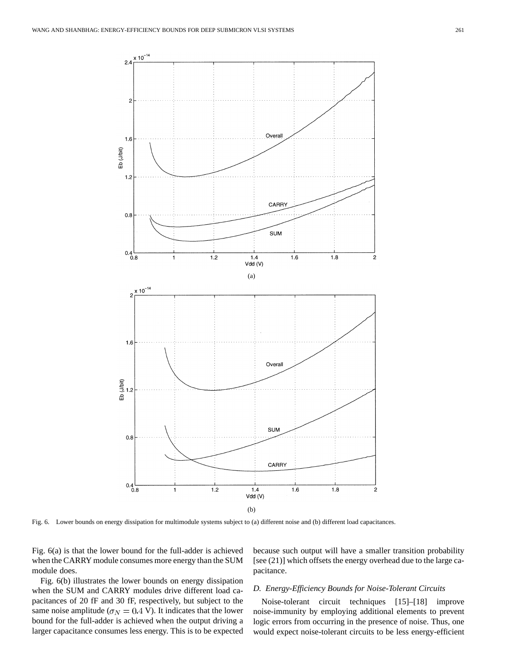

Fig. 6. Lower bounds on energy dissipation for multimodule systems subject to (a) different noise and (b) different load capacitances.

Fig. 6(a) is that the lower bound for the full-adder is achieved when the CARRY module consumes more energy than the SUM module does.

Fig. 6(b) illustrates the lower bounds on energy dissipation when the SUM and CARRY modules drive different load capacitances of 20 fF and 30 fF, respectively, but subject to the same noise amplitude ( $\sigma_N = 0.4$  V). It indicates that the lower bound for the full-adder is achieved when the output driving a larger capacitance consumes less energy. This is to be expected

because such output will have a smaller transition probability [see (21)] which offsets the energy overhead due to the large capacitance.

## *D. Energy-Efficiency Bounds for Noise-Tolerant Circuits*

Noise-tolerant circuit techniques [15]–[18] improve noise-immunity by employing additional elements to prevent logic errors from occurring in the presence of noise. Thus, one would expect noise-tolerant circuits to be less energy-efficient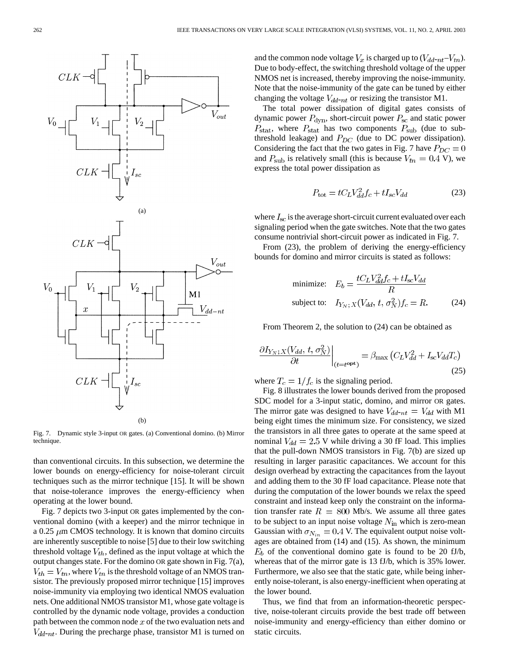

Fig. 7. Dynamic style 3-input OR gates. (a) Conventional domino. (b) Mirror technique.

than conventional circuits. In this subsection, we determine the lower bounds on energy-efficiency for noise-tolerant circuit techniques such as the mirror technique [15]. It will be shown that noise-tolerance improves the energy-efficiency when operating at the lower bound.

Fig. 7 depicts two 3-input OR gates implemented by the conventional domino (with a keeper) and the mirror technique in a 0.25  $\mu$ m CMOS technology. It is known that domino circuits are inherently susceptible to noise [5] due to their low switching threshold voltage  $V_{th}$ , defined as the input voltage at which the output changes state. For the domino OR gate shown in Fig. 7(a),  $V_{th} = V_{tn}$ , where  $V_{tn}$  is the threshold voltage of an NMOS transistor. The previously proposed mirror technique [15] improves noise-immunity via employing two identical NMOS evaluation nets. One additional NMOS transistor M1, whose gate voltage is controlled by the dynamic node voltage, provides a conduction path between the common node  $x$  of the two evaluation nets and  $V_{dd-nt}$ . During the precharge phase, transistor M1 is turned on and the common node voltage  $V_x$  is charged up to  $(V_{dd-nt} - V_{tn})$ . Due to body-effect, the switching threshold voltage of the upper NMOS net is increased, thereby improving the noise-immunity. Note that the noise-immunity of the gate can be tuned by either changing the voltage  $V_{dd-nt}$  or resizing the transistor M1.

The total power dissipation of digital gates consists of dynamic power  $P_{\text{dyn}}$ , short-circuit power  $P_{\text{sc}}$  and static power  $P_{\text{stat}}$ , where  $P_{\text{stat}}$  has two components  $P_{\text{sub}}$  (due to subthreshold leakage) and  $P_{DC}$  (due to DC power dissipation). Considering the fact that the two gates in Fig. 7 have  $P_{DC} = 0$ and  $P_{\text{sub}}$  is relatively small (this is because  $V_{tn} = 0.4$  V), we express the total power dissipation as

$$
P_{\text{tot}} = tC_L V_{dd}^2 f_c + tI_{sc} V_{dd} \tag{23}
$$

where  $I_{\rm sc}$  is the average short-circuit current evaluated over each signaling period when the gate switches. Note that the two gates consume nontrivial short-circuit power as indicated in Fig. 7.

From  $(23)$ , the problem of deriving the energy-efficiency bounds for domino and mirror circuits is stated as follows:

minimize: 
$$
E_b = \frac{tC_L V_{dd}^2 f_c + tI_{sc}V_{dd}}{R}
$$
  
subject to:  $I_{Y_N; X}(V_{dd}, t, \sigma_N^2) f_c = R.$  (24)

From Theorem 2, the solution to (24) can be obtained as

$$
\frac{\partial I_{Y_N;X}(V_{dd}, t, \sigma_N^2)}{\partial t}\Big|_{(t=t^{\text{opt}})} = \beta_{\text{max}} \left( C_L V_{dd}^2 + I_{\text{sc}} V_{dd} T_c \right)
$$
\n(25)

where  $T_c = 1/f_c$  is the signaling period.

Fig. 8 illustrates the lower bounds derived from the proposed SDC model for a 3-input static, domino, and mirror OR gates. The mirror gate was designed to have  $V_{dd-nt} = V_{dd}$  with M1 being eight times the minimum size. For consistency, we sized the transistors in all three gates to operate at the same speed at nominal  $V_{dd} = 2.5$  V while driving a 30 fF load. This implies that the pull-down NMOS transistors in Fig. 7(b) are sized up resulting in larger parasitic capacitances. We account for this design overhead by extracting the capacitances from the layout and adding them to the 30 fF load capacitance. Please note that during the computation of the lower bounds we relax the speed constraint and instead keep only the constraint on the information transfer rate  $R = 800$  Mb/s. We assume all three gates to be subject to an input noise voltage  $N_{\text{in}}$  which is zero-mean Gaussian with  $\sigma_{N_{in}} = 0.4$  V. The equivalent output noise voltages are obtained from (14) and (15). As shown, the minimum  $E_b$  of the conventional domino gate is found to be 20 fJ/b, whereas that of the mirror gate is 13 fJ/b, which is 35% lower. Furthermore, we also see that the static gate, while being inherently noise-tolerant, is also energy-inefficient when operating at the lower bound.

Thus, we find that from an information-theoretic perspective, noise-tolerant circuits provide the best trade off between noise-immunity and energy-efficiency than either domino or static circuits.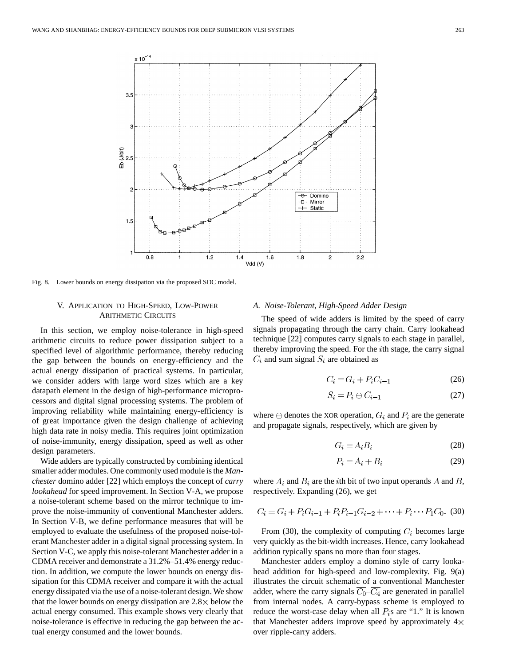

Fig. 8. Lower bounds on energy dissipation via the proposed SDC model.

# V. APPLICATION TO HIGH-SPEED, LOW-POWER ARITHMETIC CIRCUITS

In this section, we employ noise-tolerance in high-speed arithmetic circuits to reduce power dissipation subject to a specified level of algorithmic performance, thereby reducing the gap between the bounds on energy-efficiency and the actual energy dissipation of practical systems. In particular, we consider adders with large word sizes which are a key datapath element in the design of high-performance microprocessors and digital signal processing systems. The problem of improving reliability while maintaining energy-efficiency is of great importance given the design challenge of achieving high data rate in noisy media. This requires joint optimization of noise-immunity, energy dissipation, speed as well as other design parameters.

Wide adders are typically constructed by combining identical smaller adder modules. One commonly used module is the *Manchester* domino adder [22] which employs the concept of *carry lookahead* for speed improvement. In Section V-A, we propose a noise-tolerant scheme based on the mirror technique to improve the noise-immunity of conventional Manchester adders. In Section V-B, we define performance measures that will be employed to evaluate the usefulness of the proposed noise-tolerant Manchester adder in a digital signal processing system. In Section V-C, we apply this noise-tolerant Manchester adder in a CDMA receiver and demonstrate a 31.2%–51.4% energy reduction. In addition, we compute the lower bounds on energy dissipation for this CDMA receiver and compare it with the actual energy dissipated via the use of a noise-tolerant design. We show that the lower bounds on energy dissipation are  $2.8 \times$  below the actual energy consumed. This example shows very clearly that noise-tolerance is effective in reducing the gap between the actual energy consumed and the lower bounds.

# *A. Noise-Tolerant, High-Speed Adder Design*

The speed of wide adders is limited by the speed of carry signals propagating through the carry chain. Carry lookahead technique [22] computes carry signals to each stage in parallel, thereby improving the speed. For the  $i$ th stage, the carry signal  $C_i$  and sum signal  $S_i$  are obtained as

$$
C_i = G_i + P_i C_{i-1} \tag{26}
$$

$$
S_i = P_i \oplus C_{i-1} \tag{27}
$$

where  $\oplus$  denotes the XOR operation,  $G_i$  and  $P_i$  are the generate and propagate signals, respectively, which are given by

 $\overline{\phantom{a}}$ 

$$
G_i = A_i B_i \tag{28}
$$

$$
P_i = A_i + B_i \tag{29}
$$

where  $A_i$  and  $B_i$  are the *i*th bit of two input operands A and B, respectively. Expanding (26), we get

$$
C_i = G_i + P_i G_{i-1} + P_i P_{i-1} G_{i-2} + \dots + P_i \dots P_1 C_0.
$$
 (30)

From (30), the complexity of computing  $C_i$  becomes large very quickly as the bit-width increases. Hence, carry lookahead addition typically spans no more than four stages.

Manchester adders employ a domino style of carry lookahead addition for high-speed and low-complexity. Fig. 9(a) illustrates the circuit schematic of a conventional Manchester adder, where the carry signals  $\overline{C_0}-\overline{C_4}$  are generated in parallel from internal nodes. A carry-bypass scheme is employed to reduce the worst-case delay when all  $P_i$ s are "1." It is known that Manchester adders improve speed by approximately  $4\times$ over ripple-carry adders.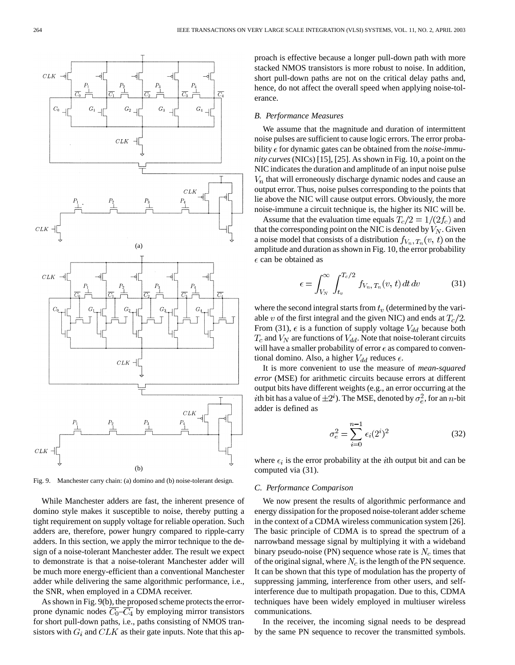

Fig. 9. Manchester carry chain: (a) domino and (b) noise-tolerant design.

While Manchester adders are fast, the inherent presence of domino style makes it susceptible to noise, thereby putting a tight requirement on supply voltage for reliable operation. Such adders are, therefore, power hungry compared to ripple-carry adders. In this section, we apply the mirror technique to the design of a noise-tolerant Manchester adder. The result we expect to demonstrate is that a noise-tolerant Manchester adder will be much more energy-efficient than a conventional Manchester adder while delivering the same algorithmic performance, i.e., the SNR, when employed in a CDMA receiver.

As shown in Fig. 9(b), the proposed scheme protects the errorprone dynamic nodes  $\overline{C_0}-\overline{C_4}$  by employing mirror transistors for short pull-down paths, i.e., paths consisting of NMOS transistors with  $G_i$  and  $CLK$  as their gate inputs. Note that this approach is effective because a longer pull-down path with more stacked NMOS transistors is more robust to noise. In addition, short pull-down paths are not on the critical delay paths and, hence, do not affect the overall speed when applying noise-tolerance.

# *B. Performance Measures*

We assume that the magnitude and duration of intermittent noise pulses are sufficient to cause logic errors. The error probability  $\epsilon$  for dynamic gates can be obtained from the *noise-immunity curves*(NICs) [15], [25]. As shown in Fig. 10, a point on the NIC indicates the duration and amplitude of an input noise pulse  $V_n$  that will erroneously discharge dynamic nodes and cause an output error. Thus, noise pulses corresponding to the points that lie above the NIC will cause output errors. Obviously, the more noise-immune a circuit technique is, the higher its NIC will be.

Assume that the evaluation time equals  $T_c/2 = 1/(2f_c)$  and that the corresponding point on the NIC is denoted by  $V_N$ . Given a noise model that consists of a distribution  $f_{V_n, T_n}(v, t)$  on the amplitude and duration as shown in Fig. 10, the error probability  $\epsilon$  can be obtained as

$$
\epsilon = \int_{V_N}^{\infty} \int_{t_v}^{T_c/2} f_{V_n, T_n}(v, t) dt dv \qquad (31)
$$

where the second integral starts from  $t<sub>v</sub>$  (determined by the variable v of the first integral and the given NIC) and ends at  $T_c/2$ . From (31),  $\epsilon$  is a function of supply voltage  $V_{dd}$  because both  $T_c$  and  $V_N$  are functions of  $V_{dd}$ . Note that noise-tolerant circuits will have a smaller probability of error  $\epsilon$  as compared to conventional domino. Also, a higher  $V_{dd}$  reduces  $\epsilon$ .

It is more convenient to use the measure of *mean-squared error* (MSE) for arithmetic circuits because errors at different output bits have different weights (e.g., an error occurring at the *i*th bit has a value of  $\pm 2^i$ . The MSE, denoted by  $\sigma_e^2$ , for an *n*-bit adder is defined as

$$
\sigma_e^2 = \sum_{i=0}^{n-1} \epsilon_i (2^i)^2 \tag{32}
$$

where  $\epsilon_i$  is the error probability at the *i*th output bit and can be computed via (31).

## *C. Performance Comparison*

We now present the results of algorithmic performance and energy dissipation for the proposed noise-tolerant adder scheme in the context of a CDMA wireless communication system [26]. The basic principle of CDMA is to spread the spectrum of a narrowband message signal by multiplying it with a wideband binary pseudo-noise (PN) sequence whose rate is  $N_c$  times that of the original signal, where  $N_c$  is the length of the PN sequence. It can be shown that this type of modulation has the property of suppressing jamming, interference from other users, and selfinterference due to multipath propagation. Due to this, CDMA techniques have been widely employed in multiuser wireless communications.

In the receiver, the incoming signal needs to be despread by the same PN sequence to recover the transmitted symbols.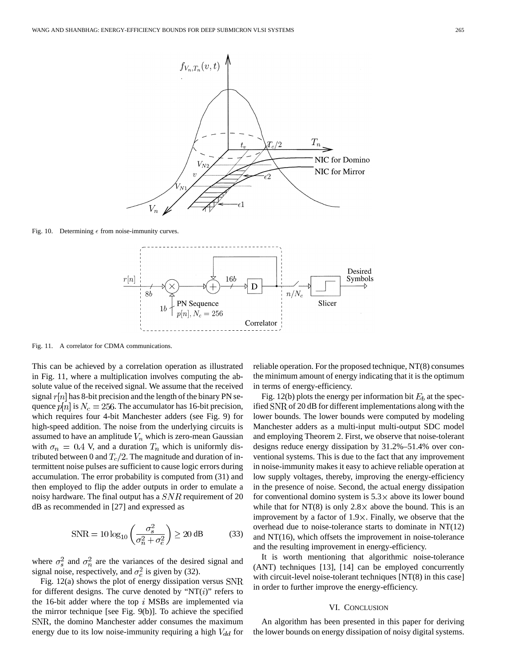

Fig. 10. Determining  $\epsilon$  from noise-immunity curves.



Fig. 11. A correlator for CDMA communications.

This can be achieved by a correlation operation as illustrated in Fig. 11, where a multiplication involves computing the absolute value of the received signal. We assume that the received signal  $r[n]$  has 8-bit precision and the length of the binary PN sequence  $p[n]$  is  $N_c = 256$ . The accumulator has 16-bit precision, which requires four 4-bit Manchester adders (see Fig. 9) for high-speed addition. The noise from the underlying circuits is assumed to have an amplitude  $V_n$  which is zero-mean Gaussian with  $\sigma_n = 0.4$  V, and a duration  $T_n$  which is uniformly distributed between 0 and  $T_c/2$ . The magnitude and duration of intermittent noise pulses are sufficient to cause logic errors during accumulation. The error probability is computed from (31) and then employed to flip the adder outputs in order to emulate a noisy hardware. The final output has a  $SNR$  requirement of 20 dB as recommended in [27] and expressed as

$$
\text{SNR} = 10 \log_{10} \left( \frac{\sigma_s^2}{\sigma_n^2 + \sigma_e^2} \right) \ge 20 \, \text{dB} \tag{33}
$$

where  $\sigma_s^2$  and  $\sigma_n^2$  are the variances of the desired signal and signal noise, respectively, and  $\sigma_e^2$  is given by (32).

Fig.  $12(a)$  shows the plot of energy dissipation versus SNR for different designs. The curve denoted by "NT $(i)$ " refers to the 16-bit adder where the top  $i$  MSBs are implemented via the mirror technique [see Fig. 9(b)]. To achieve the specified SNR, the domino Manchester adder consumes the maximum energy due to its low noise-immunity requiring a high  $V_{dd}$  for reliable operation. For the proposed technique, NT(8) consumes the minimum amount of energy indicating that it is the optimum in terms of energy-efficiency.

Fig. 12(b) plots the energy per information bit  $E_b$  at the specified SNR of 20 dB for different implementations along with the lower bounds. The lower bounds were computed by modeling Manchester adders as a multi-input multi-output SDC model and employing Theorem 2. First, we observe that noise-tolerant designs reduce energy dissipation by 31.2%–51.4% over conventional systems. This is due to the fact that any improvement in noise-immunity makes it easy to achieve reliable operation at low supply voltages, thereby, improving the energy-efficiency in the presence of noise. Second, the actual energy dissipation for conventional domino system is  $5.3\times$  above its lower bound while that for NT(8) is only  $2.8 \times$  above the bound. This is an improvement by a factor of  $1.9 \times$ . Finally, we observe that the overhead due to noise-tolerance starts to dominate in NT(12) and NT(16), which offsets the improvement in noise-tolerance and the resulting improvement in energy-efficiency.

It is worth mentioning that algorithmic noise-tolerance (ANT) techniques [13], [14] can be employed concurrently with circuit-level noise-tolerant techniques [NT(8) in this case] in order to further improve the energy-efficiency.

#### VI. CONCLUSION

An algorithm has been presented in this paper for deriving the lower bounds on energy dissipation of noisy digital systems.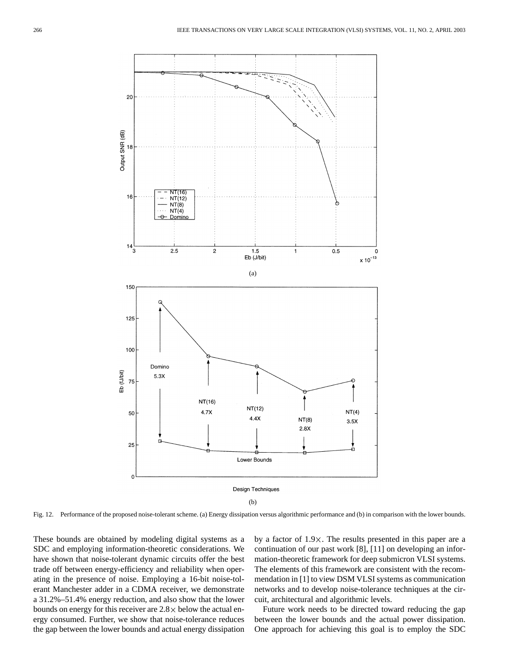

Fig. 12. Performance of the proposed noise-tolerant scheme. (a) Energy dissipation versus algorithmic performance and (b) in comparison with the lower bounds.

These bounds are obtained by modeling digital systems as a SDC and employing information-theoretic considerations. We have shown that noise-tolerant dynamic circuits offer the best trade off between energy-efficiency and reliability when operating in the presence of noise. Employing a 16-bit noise-tolerant Manchester adder in a CDMA receiver, we demonstrate a 31.2%–51.4% energy reduction, and also show that the lower bounds on energy for this receiver are  $2.8 \times$  below the actual energy consumed. Further, we show that noise-tolerance reduces the gap between the lower bounds and actual energy dissipation by a factor of  $1.9 \times$ . The results presented in this paper are a continuation of our past work [8], [11] on developing an information-theoretic framework for deep submicron VLSI systems. The elements of this framework are consistent with the recommendation in [1] to view DSM VLSI systems as communication networks and to develop noise-tolerance techniques at the circuit, architectural and algorithmic levels.

Future work needs to be directed toward reducing the gap between the lower bounds and the actual power dissipation. One approach for achieving this goal is to employ the SDC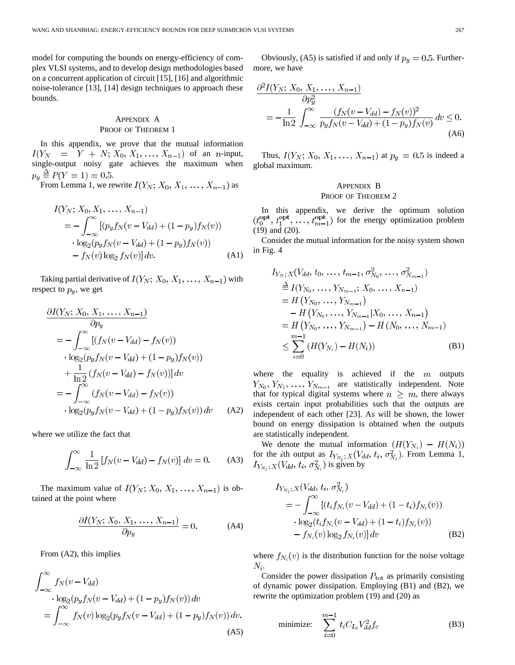model for computing the bounds on energy-efficiency of complex VLSI systems, and to develop design methodologies based on a concurrent application of circuit [15], [16] and algorithmic noise-tolerance [13], [14] design techniques to approach these bounds.

# APPENDIX A PROOF OF THEOREM 1

In this appendix, we prove that the mutual information  $I(Y_N = Y + N; X_0, X_1, ..., X_{n-1})$  of an *n*-input, single-output noisy gate achieves the maximum when  $p_y \stackrel{\Delta}{=} P(Y = 1) = 0.5.$ 

From Lemma 1, we rewrite  $I(Y_N; X_0, X_1, \ldots, X_{n-1})$  as

$$
I(Y_N; X_0, X_1, ..., X_{n-1})
$$
  
= 
$$
- \int_{-\infty}^{\infty} [(p_y f_N(v - V_{dd}) + (1 - p_y) f_N(v))
$$

$$
\cdot \log_2(p_y f_N(v - V_{dd}) + (1 - p_y) f_N(v))
$$

$$
- f_N(v) \log_2 f_N(v)] dv.
$$
 (A1)

Taking partial derivative of  $I(Y_N; X_0, X_1, \ldots, X_{n-1})$  with respect to  $p_y$ , we get

$$
\frac{\partial I(Y_N; X_0, X_1, \dots, X_{n-1})}{\partial p_y} = -\int_{-\infty}^{\infty} [(f_N(v - V_{dd}) - f_N(v)) + \frac{1}{\ln 2} (f_N(v - V_{dd}) + (1 - p_y)f_N(v)) + \frac{1}{\ln 2} (f_N(v - V_{dd}) - f_N(v))] dv = -\int_{-\infty}^{\infty} (f_N(v - V_{dd}) - f_N(v)) + \log_2(p_y f_N(v - V_{dd}) + (1 - p_y)f_N(v)) dv \tag{A2}
$$

where we utilize the fact that

$$
\int_{-\infty}^{\infty} \frac{1}{\ln 2} \left[ f_N(v - V_{dd}) - f_N(v) \right] dv = 0.
$$
 (A3)

The maximum value of  $I(Y_N; X_0, X_1, \ldots, X_{n-1})$  is obtained at the point where

$$
\frac{\partial I(Y_N; X_0, X_1, \dots, X_{n-1})}{\partial p_y} = 0.
$$
 (A4)

From (A2), this implies

$$
\int_{-\infty}^{\infty} f_N(v - V_{dd})
$$
  
\n
$$
\cdot \log_2(p_y f_N(v - V_{dd}) + (1 - p_y) f_N(v)) dv
$$
  
\n
$$
= \int_{-\infty}^{\infty} f_N(v) \log_2(p_y f_N(v - V_{dd}) + (1 - p_y) f_N(v)) dv.
$$
  
\n(A5)

Obviously, (A5) is satisfied if and only if  $p_y = 0.5$ . Furthermore, we have

$$
\frac{\partial^2 I(Y_N; X_0, X_1, \dots, X_{n-1})}{\partial p_y^2} = -\frac{1}{\ln 2} \int_{-\infty}^{\infty} \frac{(f_N(v - V_{dd}) - f_N(v))^2}{p_y f_N(v - V_{dd}) + (1 - p_y) f_N(v)} dv \le 0.
$$
\n(A6)

Thus,  $I(Y_N; X_0, X_1, ..., X_{n-1})$  at  $p_y = 0.5$  is indeed a global maximum.

# APPENDIX B PROOF OF THEOREM 2

In this appendix, we derive the optimum solution  $(t_0^{\text{opt}}, t_1^{\text{opt}}, \dots, t_{m-1}^{\text{opt}})$  for the energy optimization problem (19) and (20).

Consider the mutual information for the noisy system shown in Fig. 4

$$
I_{Y_N; X}(V_{dd}, t_0, \ldots, t_{m-1}, \sigma_{N_0}^2, \ldots, \sigma_{N_{m-1}}^2)
$$
  
\n
$$
\stackrel{\triangle}{=} I(Y_{N_0}, \ldots, Y_{N_{m-1}}; X_0, \ldots, X_{n-1})
$$
  
\n
$$
= H(Y_{N_0}, \ldots, Y_{N_{m-1}}|X_0, \ldots, X_{n-1})
$$
  
\n
$$
= H(Y_{N_0}, \ldots, Y_{N_{m-1}}|X_0, \ldots, X_{n-1})
$$
  
\n
$$
= H(Y_{N_0}, \ldots, Y_{N_{m-1}}) - H(N_0, \ldots, N_{m-1})
$$
  
\n
$$
\leq \sum_{i=0}^{m-1} (H(Y_{N_i}) - H(N_i))
$$
 (B1)

where the equality is achieved if the  $m$  outputs  $Y_{N_0}, Y_{N_1}, \ldots, Y_{N_{m-1}}$  are statistically independent. Note that for typical digital systems where  $n \geq m$ , there always exists certain input probabilities such that the outputs are independent of each other [23]. As will be shown, the lower bound on energy dissipation is obtained when the outputs are statistically independent.

We denote the mutual information  $(H(Y_{N_i}) - H(N_i))$ for the *i*th output as  $I_{Y_N}: X(V_{dd}, t_i, \sigma_N^2)$ . From Lemma 1, is given by

$$
I_{Y_{N_i}}; X(V_{dd}, t_i, \sigma_{N_i}^2)
$$
  
=  $-\int_{-\infty}^{\infty} [(t_i f_{N_i}(v - V_{dd}) + (1 - t_i) f_{N_i}(v))$   
 $\cdot \log_2(t_i f_{N_i}(v - V_{dd}) + (1 - t_i) f_{N_i}(v))$   
 $- f_{N_i}(v) \log_2 f_{N_i}(v) \, dv$  (B2)

where  $f_{N_i}(v)$  is the distribution function for the noise voltage  $N_i$ .

Consider the power dissipation  $P_{\text{tot}}$  as primarily consisting of dynamic power dissipation. Employing (B1) and (B2), we rewrite the optimization problem (19) and (20) as

minimize: 
$$
\sum_{i=0}^{m-1} t_i C_{L_i} V_{dd}^2 f_c
$$
 (B3)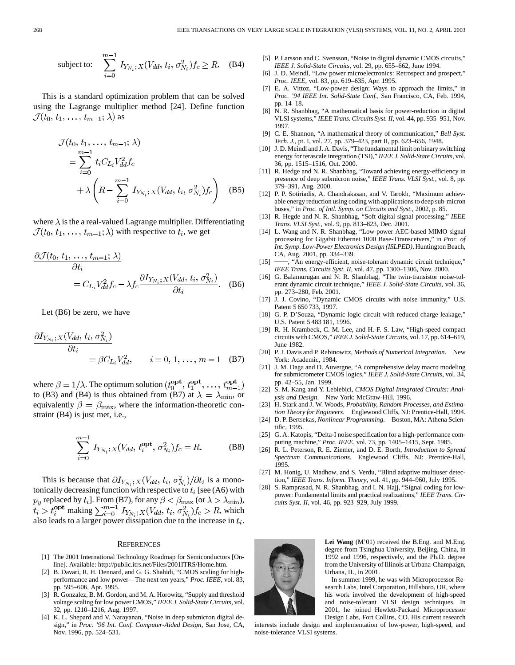subject to: 
$$
\sum_{i=0}^{m-1} I_{Y_{N_i};X}(V_{dd}, t_i, \sigma_{N_i}^2) f_c \ge R.
$$
 (B4)

This is a standard optimization problem that can be solved using the Lagrange multiplier method [24]. Define function  $\mathcal{J}(t_0, t_1, \ldots, t_{m-1}; \lambda)$  as

$$
\mathcal{J}(t_0, t_1, \dots, t_{m-1}; \lambda)
$$
\n
$$
= \sum_{i=0}^{m-1} t_i C_{L_i} V_{dd}^2 f_c
$$
\n
$$
+ \lambda \left( R - \sum_{i=0}^{m-1} I_{Y_{N_i}}; X(V_{dd}, t_i, \sigma_{N_i}^2) f_c \right) \quad (B5)
$$

where  $\lambda$  is the a real-valued Lagrange multiplier. Differentiating  $\mathcal{J}(t_0, t_1, \ldots, t_{m-1}; \lambda)$  with respective to  $t_i$ , we get

$$
\frac{\partial \mathcal{J}(t_0, t_1, \dots, t_{m-1}; \lambda)}{\partial t_i}
$$
  
=  $C_{L_i} V_{dd}^2 f_c - \lambda f_c \frac{\partial I_{Y_{N_i}} X(V_{dd}, t_i, \sigma_{N_i}^2)}{\partial t_i}$ . (B6)

Let (B6) be zero, we have

$$
\frac{\partial I_{Y_{N_i}}(V_{dd}, t_i, \sigma_{N_i}^2)}{\partial t_i} = \beta C_{L_i} V_{dd}^2, \qquad i = 0, 1, ..., m - 1 \quad (B7)
$$

where  $\beta = 1/\lambda$ . The optimum solution  $(t_0^{\text{opt}}, t_1^{\text{opt}}, \dots, t_{m-1}^{\text{opt}})$ to (B3) and (B4) is thus obtained from (B7) at  $\lambda = \lambda_{\min}$ , or equivalently  $\beta = \beta_{\text{max}}$ , where the information-theoretic constraint (B4) is just met, i.e.,

$$
\sum_{i=0}^{m-1} I_{Y_{N_i}; X}(V_{dd}, t_i^{\text{opt}}, \sigma_{N_i}^2) f_c = R.
$$
 (B8)

This is because that  $\partial I_{Y_N}: X(V_{dd}, t_i, \sigma_N^2)/\partial t_i$  is a monotonically decreasing function with respective to  $t_i$  [see (A6) with replaced by  $t_i$ ]. From (B7), for any  $\beta < \beta_{\rm max}$  (or  $\lambda > \lambda_{\rm min}$ ), making  $\sum_{i=0}^{m-1} I_{Y_N}: X(V_{dd}, t_i, \sigma_N^2) f_c > R$ , which also leads to a larger power dissipation due to the increase in  $t_i$ .

## **REFERENCES**

- [1] The 2001 International Technology Roadmap for Semiconductors [Online]. Available: http://public.itrs.net/Files/2001ITRS/Home.htm.
- [2] B. Davari, R. H. Dennard, and G. G. Shahidi, "CMOS scaling for highperformance and low power—The next ten years," *Proc. IEEE*, vol. 83, pp. 595–606, Apr. 1995.
- [3] R. Gonzalez, B. M. Gordon, and M. A. Horowitz, "Supply and threshold voltage scaling for low power CMOS," *IEEE J. Solid-State Circuits*, vol. 32, pp. 1210–1216, Aug. 1997.
- K. L. Shepard and V. Narayanan, "Noise in deep submicron digital design," in *Proc. '96 Int. Conf. Computer-Aided Design*, San Jose, CA, Nov. 1996, pp. 524–531.
- [5] P. Larsson and C. Svensson, "Noise in digital dynamic CMOS circuits," *IEEE J. Solid-State Circuits*, vol. 29, pp. 655–662, June 1994.
- [6] J. D. Meindl, "Low power microelectronics: Retrospect and prospect," *Proc. IEEE*, vol. 83, pp. 619–635, Apr. 1995.
- [7] E. A. Vittoz, "Low-power design: Ways to approach the limits," in *Proc. '94 IEEE Int. Solid-State Conf.*, San Francisco, CA, Feb. 1994, pp. 14–18.
- [8] N. R. Shanbhag, "A mathematical basis for power-reduction in digital VLSI systems," *IEEE Trans. Circuits Syst. II*, vol. 44, pp. 935–951, Nov. 1997.
- [9] C. E. Shannon, "A mathematical theory of communication," *Bell Syst. Tech. J.*, pt. I, vol. 27, pp. 379–423, part II, pp. 623–656, 1948.
- [10] J. D. Meindl and J. A. Davis, "The fundamental limit on binary switching energy for terascale integration (TSI)," *IEEE J. Solid-State Circuits*, vol. 36, pp. 1515–1516, Oct. 2000.
- [11] R. Hedge and N. R. Shanbhag, "Toward achieving energy-efficiency in presence of deep submicron noise," *IEEE Trans. VLSI Syst.*, vol. 8, pp. 379–391, Aug. 2000.
- [12] P. P. Sotiriadis, A. Chandrakasan, and V. Tarokh, "Maximum achievable energy reduction using coding with applications to deep sub-micron buses," in *Proc. of Intl. Symp. on Circuits and Syst.*, 2002, p. 85.
- [13] R. Hegde and N. R. Shanbhag, "Soft digital signal processing," *IEEE Trans. VLSI Syst.*, vol. 9, pp. 813–823, Dec. 2001.
- [14] L. Wang and N. R. Shanbhag, "Low-power AEC-based MIMO signal processing for Gigabit Ethernet 1000 Base-Ttransceivers," in *Proc. of Int. Symp. Low-Power Electronics Design (ISLPED)*, Huntington Beach, CA, Aug. 2001, pp. 334–339.
- [15]  $\frac{15}{2}$ , "An energy-efficient, noise-tolerant dynamic circuit technique," *IEEE Trans. Circuits Syst. II*, vol. 47, pp. 1300–1306, Nov. 2000.
- [16] G. Balamurugan and N. R. Shanbhag, "The twin-transistor noise-tolerant dynamic circuit technique," *IEEE J. Solid-State Circuits*, vol. 36, pp. 273–280, Feb. 2001.
- [17] J. J. Covino, "Dynamic CMOS circuits with noise immunity," U.S. Patent 5 650 733, 1997.
- [18] G. P. D'Souza, "Dynamic logic circuit with reduced charge leakage," U.S. Patent 5 483 181, 1996.
- [19] R. H. Krambeck, C. M. Lee, and H.-F. S. Law, "High-speed compact circuits with CMOS," *IEEE J. Solid-State Circuits*, vol. 17, pp. 614–619, June 1982.
- [20] P. J. Davis and P. Rabinowitz, *Methods of Numerical Integration*. New York: Academic, 1984.
- [21] J. M. Daga and D. Auvergne, "A comprehensive delay macro modeling for submicrometer CMOS logics," *IEEE J. Solid-State Circuits*, vol. 34, pp. 42–55, Jan. 1999.
- [22] S. M. Kang and Y. Leblebici, *CMOS Digital Integrated Circuits: Analysis and Design*. New York: McGraw-Hill, 1996.
- [23] H. Stark and J. W. Woods, *Probability, Random Processes, and Estimation Theory for Engineers*. Englewood Cliffs, NJ: Prentice-Hall, 1994.
- [24] D. P. Bertsekas, *Nonlinear Programming*. Boston, MA: Athena Scientific, 1995.
- [25] G. A. Katopis, "Delta-I noise specification for a high-performance computing machine," *Proc. IEEE*, vol. 73, pp. 1405–1415, Sept. 1985.
- [26] R. L. Peterson, R. E. Ziemer, and D. E. Borth, *Introduction to Spread Spectrum Communications*. Englewood Cliffs, NJ: Prentice-Hall, 1995.
- [27] M. Honig, U. Madhow, and S. Verdu, "Blind adaptive multiuser detection," *IEEE Trans. Inform. Theory*, vol. 41, pp. 944–960, July 1995.
- [28] S. Ramprasad, N. R. Shanbhag, and I. N. Hajj, "Signal coding for lowpower: Fundamental limits and practical realizations," *IEEE Trans. Circuits Syst. II*, vol. 46, pp. 923–929, July 1999.



**Lei Wang** (M'01) received the B.Eng. and M.Eng. degree from Tsinghua University, Beijing, China, in 1992 and 1996, respectively, and the Ph.D. degree from the University of Illinois at Urbana-Champaign, Urbana, IL, in 2001.

In summer 1999, he was with Microprocessor Research Labs, Intel Corporation, Hillsboro, OR, where his work involved the development of high-speed and noise-tolerant VLSI design techniques. In 2001, he joined Hewlett-Packard Microprocessor Design Labs, Fort Collins, CO. His current research

interests include design and implementation of low-power, high-speed, and noise-tolerance VLSI systems.